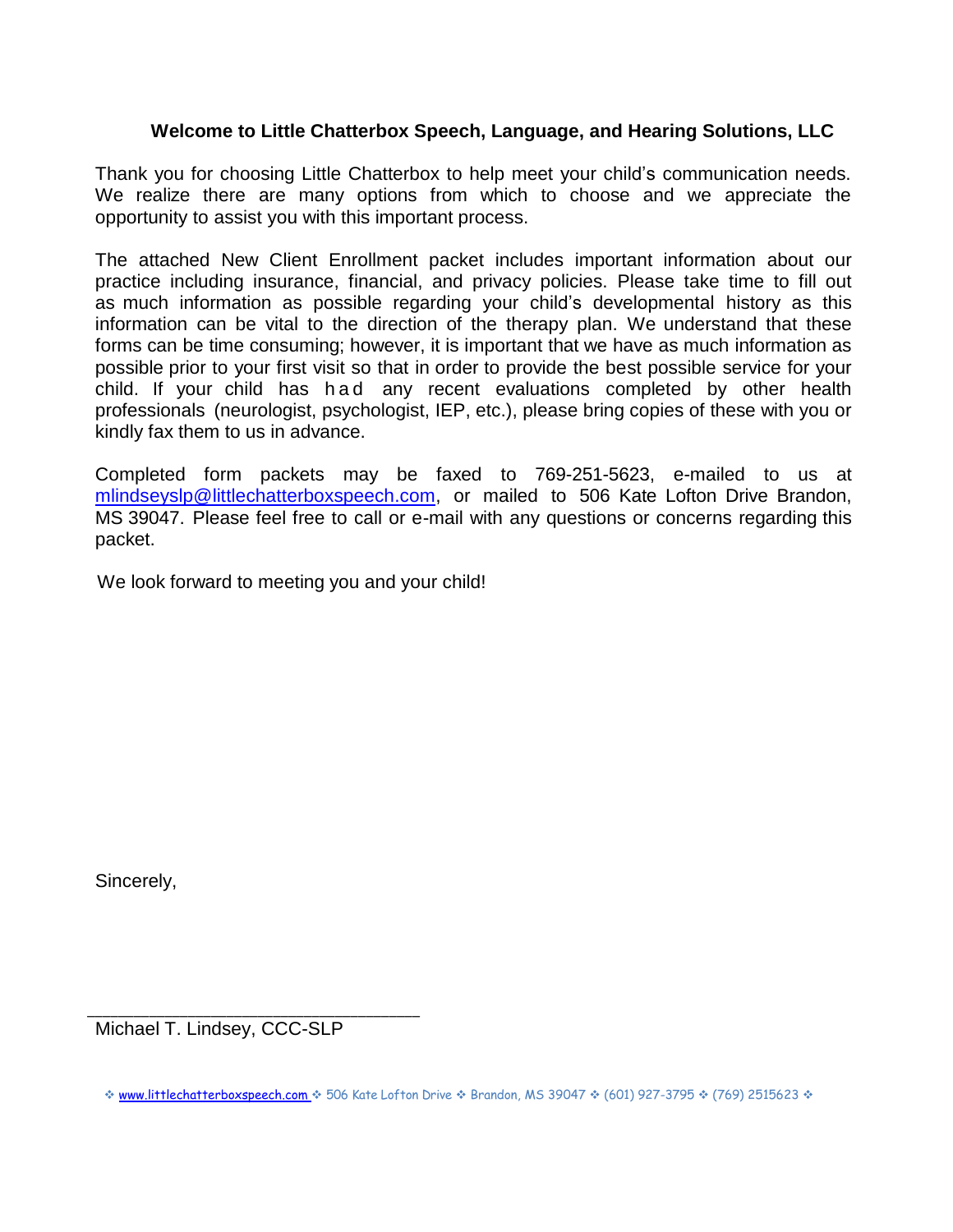## **Welcome to Little Chatterbox Speech, Language, and Hearing Solutions, LLC**

Thank you for choosing Little Chatterbox to help meet your child's communication needs. We realize there are many options from which to choose and we appreciate the opportunity to assist you with this important process.

The attached New Client Enrollment packet includes important information about our practice including insurance, financial, and privacy policies. Please take time to fill out as much information as possible regarding your child's developmental history as this information can be vital to the direction of the therapy plan. We understand that these forms can be time consuming; however, it is important that we have as much information as possible prior to your first visit so that in order to provide the best possible service for your child. If your child has had any recent evaluations completed by other health professionals (neurologist, psychologist, IEP, etc.), please bring copies of these with you or kindly fax them to us in advance.

Completed form packets may be faxed to 769-251-5623, e-mailed to us at mlindseyslp@littlechatterboxspeech.com, or mailed to 506 Kate Lofton Drive Brandon, MS 39047. Please feel free to call or e-mail with any questions or concerns regarding this packet.

We look forward to meeting you and your child!

Sincerely,

\_\_\_\_\_\_\_\_\_\_\_\_\_\_\_\_\_\_\_\_\_\_\_\_\_\_\_\_\_\_\_\_\_\_\_\_\_\_\_\_\_\_\_ Michael T. Lindsey, CCC-SLP

<sup>\*</sup> www.littlechatterboxspeech.com \* 506 Kate Lofton Drive \* Brandon, MS 39047 \* (601) 927-3795 \* (769) 2515623 \*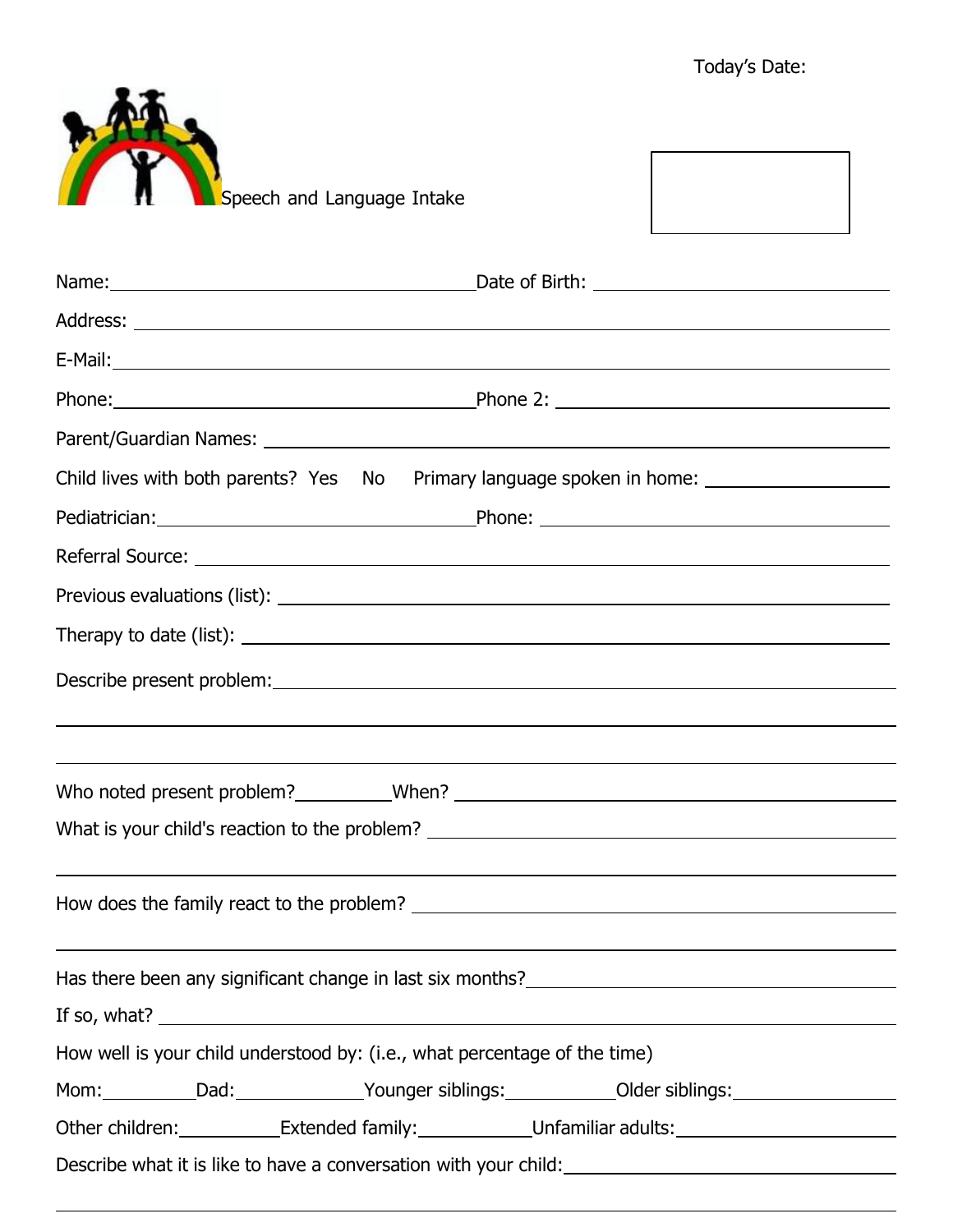

| Child lives with both parents? Yes No                                                                                  |                                                                                                                      |  |  |
|------------------------------------------------------------------------------------------------------------------------|----------------------------------------------------------------------------------------------------------------------|--|--|
|                                                                                                                        |                                                                                                                      |  |  |
|                                                                                                                        |                                                                                                                      |  |  |
|                                                                                                                        |                                                                                                                      |  |  |
|                                                                                                                        |                                                                                                                      |  |  |
|                                                                                                                        | ,我们也不会有什么。""我们的人,我们也不会有什么?""我们的人,我们也不会有什么?""我们的人,我们也不会有什么?""我们的人,我们也不会有什么?""我们的人                                     |  |  |
| What is your child's reaction to the problem? ___________________________________                                      | ,我们也不会有什么。""我们的人,我们也不会有什么?""我们的人,我们也不会有什么?""我们的人,我们也不会有什么?""我们的人,我们也不会有什么?""我们的人                                     |  |  |
|                                                                                                                        | <u> 1989 - Andrea Santa Andrea Andrea Andrea Andrea Andrea Andrea Andrea Andrea Andrea Andrea Andrea Andrea Andr</u> |  |  |
| Has there been any significant change in last six months?<br>Mas there been any significant change in last six months? |                                                                                                                      |  |  |
| How well is your child understood by: (i.e., what percentage of the time)                                              |                                                                                                                      |  |  |
| Mom: __________Dad:______________Younger siblings: ____________Older siblings: ____________________                    |                                                                                                                      |  |  |
| Other children: Extended family: Unfamiliar adults: Unfamiliar adults:                                                 |                                                                                                                      |  |  |
|                                                                                                                        |                                                                                                                      |  |  |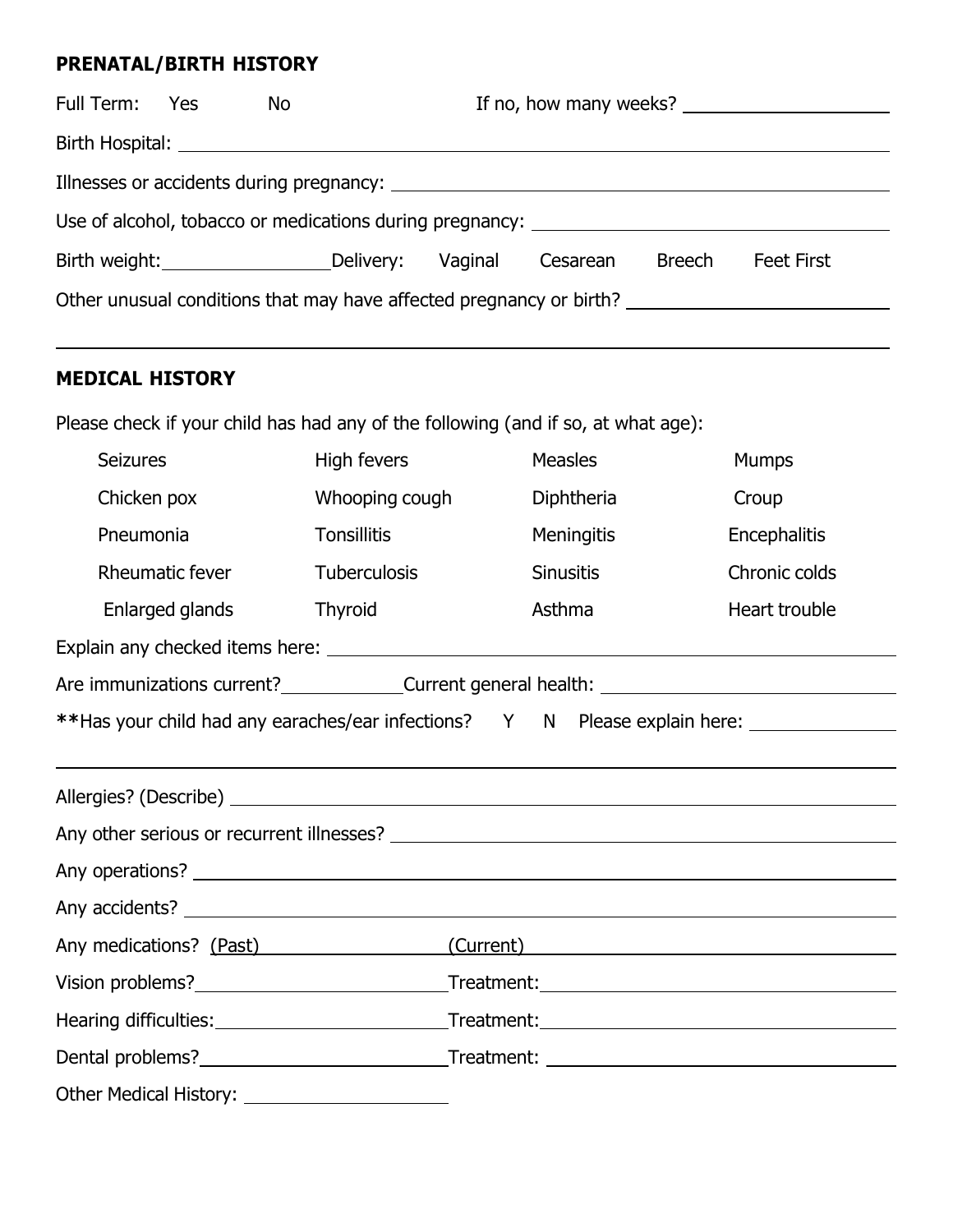# **PRENATAL/BIRTH HISTORY**

| Full Term: Yes | No.                                                                              |         |          |               | If no, how many weeks? |  |
|----------------|----------------------------------------------------------------------------------|---------|----------|---------------|------------------------|--|
|                |                                                                                  |         |          |               |                        |  |
|                |                                                                                  |         |          |               |                        |  |
|                | Use of alcohol, tobacco or medications during pregnancy: _______________________ |         |          |               |                        |  |
|                | Birth weight: Delivery:                                                          | Vaginal | Cesarean | <b>Breech</b> | <b>Feet First</b>      |  |
|                | Other unusual conditions that may have affected pregnancy or birth?              |         |          |               |                        |  |

## **MEDICAL HISTORY**

Please check if your child has had any of the following (and if so, at what age):

| <b>Seizures</b>                                                                                     | High fevers         | <b>Measles</b>   | <b>Mumps</b>        |  |
|-----------------------------------------------------------------------------------------------------|---------------------|------------------|---------------------|--|
| Chicken pox                                                                                         | Whooping cough      | Diphtheria       | Croup               |  |
| Pneumonia                                                                                           | <b>Tonsillitis</b>  | Meningitis       | <b>Encephalitis</b> |  |
| Rheumatic fever                                                                                     | <b>Tuberculosis</b> | <b>Sinusitis</b> | Chronic colds       |  |
| Enlarged glands                                                                                     | <b>Thyroid</b>      | Asthma           | Heart trouble       |  |
|                                                                                                     |                     |                  |                     |  |
|                                                                                                     |                     |                  |                     |  |
| **Has your child had any earaches/ear infections? Y N Please explain here: ________________________ |                     |                  |                     |  |
|                                                                                                     |                     |                  |                     |  |
|                                                                                                     |                     |                  |                     |  |
|                                                                                                     |                     |                  |                     |  |
|                                                                                                     |                     |                  |                     |  |
|                                                                                                     |                     |                  |                     |  |
| Any medications? (Past)<br>(Current)                                                                |                     |                  |                     |  |
|                                                                                                     |                     |                  |                     |  |
|                                                                                                     |                     |                  |                     |  |
|                                                                                                     |                     |                  |                     |  |
| Other Medical History: <u>_____________________</u>                                                 |                     |                  |                     |  |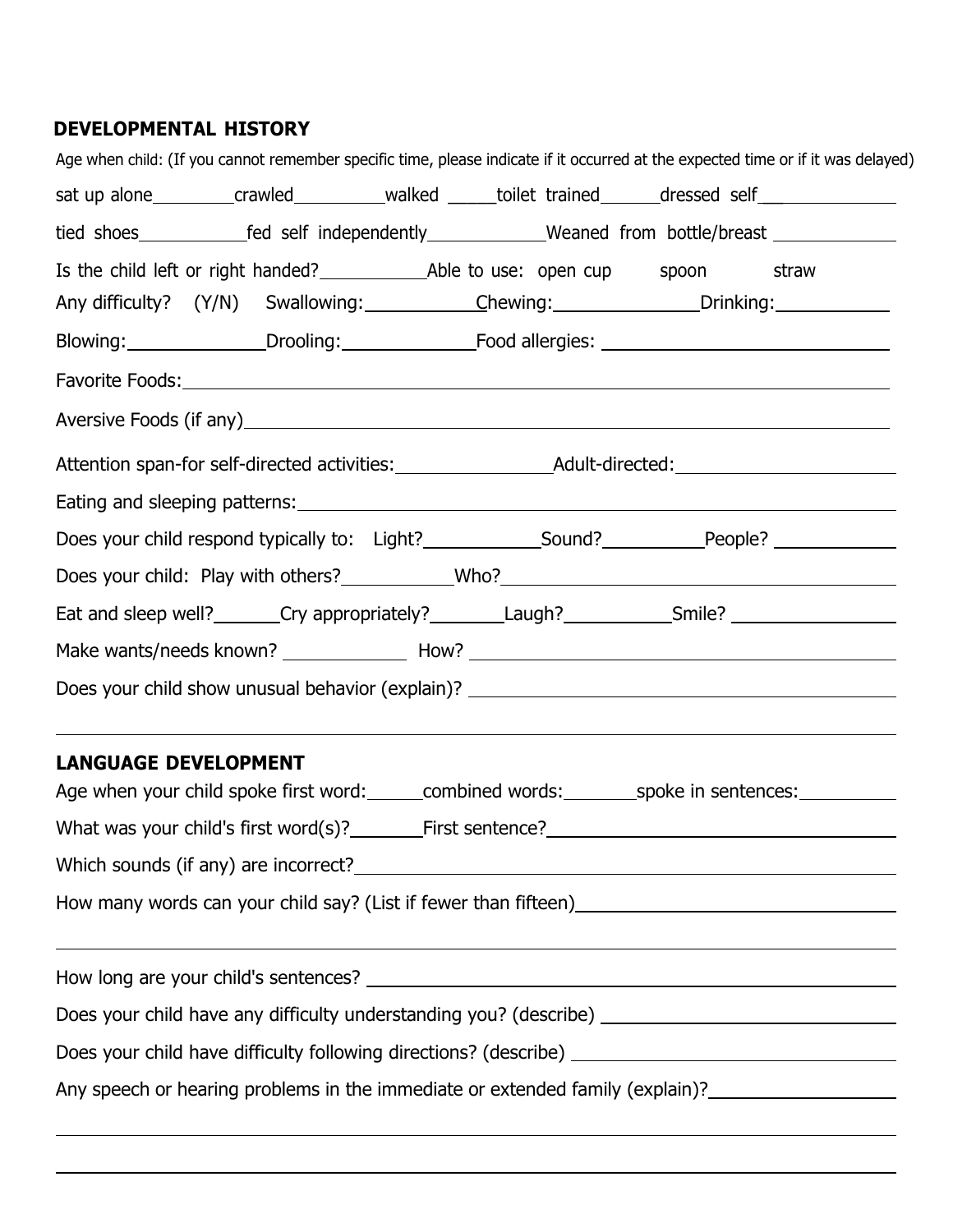# **DEVELOPMENTAL HISTORY**

|                                                                                                               |  |  | Age when child: (If you cannot remember specific time, please indicate if it occurred at the expected time or if it was delayed)                                                        |  |  |
|---------------------------------------------------------------------------------------------------------------|--|--|-----------------------------------------------------------------------------------------------------------------------------------------------------------------------------------------|--|--|
|                                                                                                               |  |  | sat up alone___________crawled____________walked ______toilet trained_______dressed self__________________                                                                              |  |  |
|                                                                                                               |  |  | tied shoes_________________fed self independently________________Weaned from bottle/breast __________________                                                                           |  |  |
|                                                                                                               |  |  |                                                                                                                                                                                         |  |  |
|                                                                                                               |  |  | Any difficulty? (Y/N) Swallowing: Chewing: Chewing: Drinking:                                                                                                                           |  |  |
|                                                                                                               |  |  | Blowing: Drooling: Drooling: Food allergies: 1990 Manuscription Communication of the Drooding:                                                                                          |  |  |
|                                                                                                               |  |  |                                                                                                                                                                                         |  |  |
|                                                                                                               |  |  |                                                                                                                                                                                         |  |  |
|                                                                                                               |  |  |                                                                                                                                                                                         |  |  |
|                                                                                                               |  |  |                                                                                                                                                                                         |  |  |
|                                                                                                               |  |  | Does your child respond typically to: Light?______________Sound?_____________People? ______________                                                                                     |  |  |
|                                                                                                               |  |  |                                                                                                                                                                                         |  |  |
|                                                                                                               |  |  | Eat and sleep well? _______Cry appropriately? ________Laugh? ___________Smile? ____________________                                                                                     |  |  |
|                                                                                                               |  |  | Make wants/needs known? ________________ How? ___________________________________                                                                                                       |  |  |
|                                                                                                               |  |  |                                                                                                                                                                                         |  |  |
| <b>LANGUAGE DEVELOPMENT</b>                                                                                   |  |  | ,我们也不会有什么。""我们的人,我们也不会有什么?""我们的人,我们也不会有什么?""我们的人,我们也不会有什么?""我们的人,我们也不会有什么?""我们的人<br>Age when your child spoke first word: combined words: _________spoke in sentences: ________________ |  |  |
| What was your child's first word(s)? First sentence? Measurement and the What was your child's first word(s)? |  |  |                                                                                                                                                                                         |  |  |
|                                                                                                               |  |  |                                                                                                                                                                                         |  |  |
|                                                                                                               |  |  |                                                                                                                                                                                         |  |  |
|                                                                                                               |  |  | <u> 1989 - Andrea San Andrea San Andrea San Andrea San Andrea San Andrea San Andrea San Andrea San Andrea San A</u>                                                                     |  |  |
|                                                                                                               |  |  | Does your child have any difficulty understanding you? (describe) __________________________________                                                                                    |  |  |
|                                                                                                               |  |  |                                                                                                                                                                                         |  |  |
|                                                                                                               |  |  |                                                                                                                                                                                         |  |  |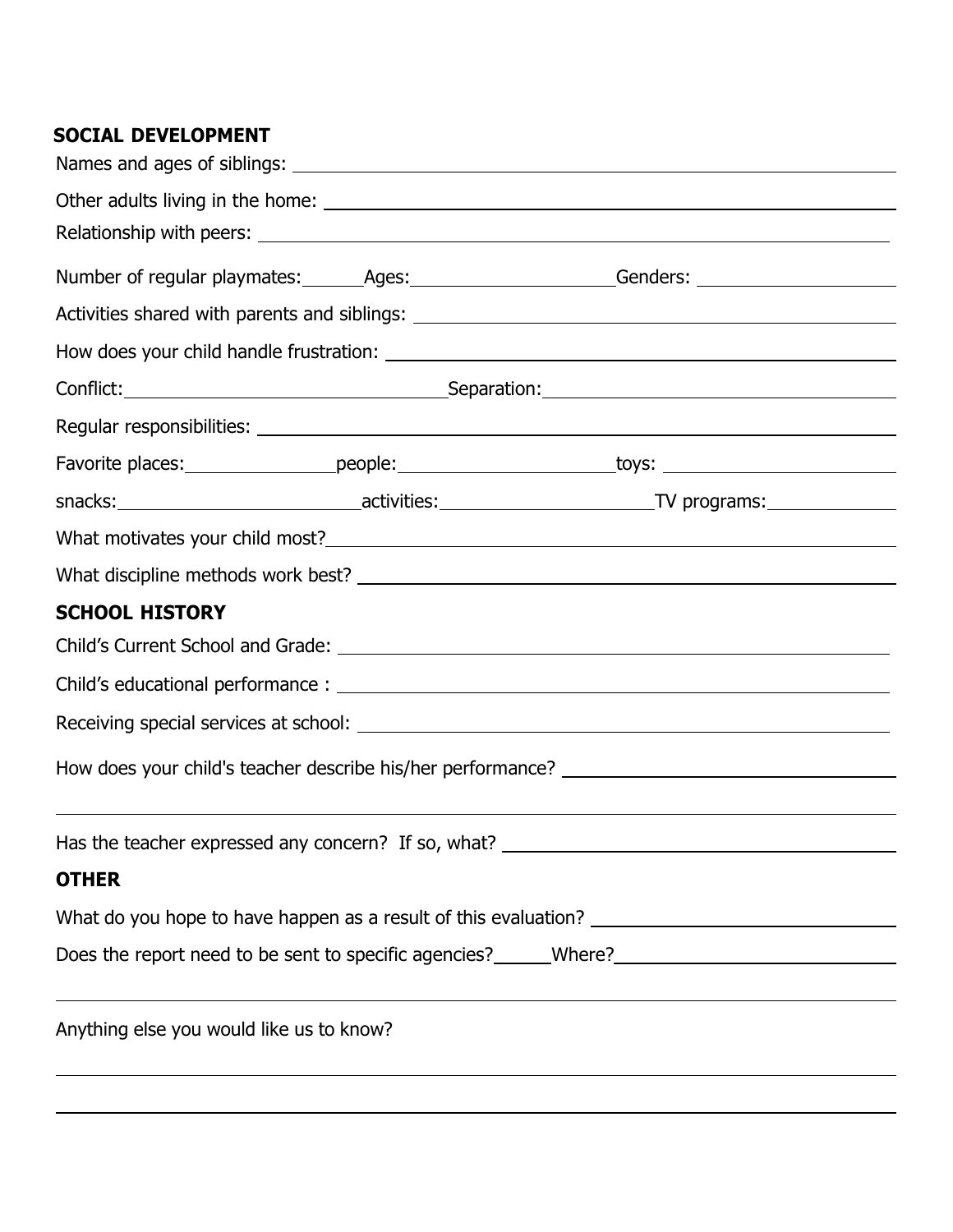# **SOCIAL DEVELOPMENT**

|                                                                                  |  | Number of regular playmates: ________Ages: ________________________Genders: _______________________            |  |  |
|----------------------------------------------------------------------------------|--|----------------------------------------------------------------------------------------------------------------|--|--|
|                                                                                  |  |                                                                                                                |  |  |
|                                                                                  |  |                                                                                                                |  |  |
|                                                                                  |  |                                                                                                                |  |  |
|                                                                                  |  |                                                                                                                |  |  |
|                                                                                  |  | Favorite places: ____________________people: _______________________toys: __________________________           |  |  |
|                                                                                  |  | snacks: _________________________________activities: ____________________________TV programs: ________________ |  |  |
|                                                                                  |  |                                                                                                                |  |  |
|                                                                                  |  |                                                                                                                |  |  |
| <b>SCHOOL HISTORY</b>                                                            |  |                                                                                                                |  |  |
|                                                                                  |  |                                                                                                                |  |  |
|                                                                                  |  |                                                                                                                |  |  |
|                                                                                  |  |                                                                                                                |  |  |
|                                                                                  |  |                                                                                                                |  |  |
| ,我们也不会有什么。""我们的人,我们也不会有什么?""我们的人,我们也不会有什么?""我们的人,我们也不会有什么?""我们的人,我们也不会有什么?""我们的人 |  |                                                                                                                |  |  |
| Has the teacher expressed any concern? If so, what?                              |  |                                                                                                                |  |  |
| <b>OTHER</b>                                                                     |  |                                                                                                                |  |  |
|                                                                                  |  |                                                                                                                |  |  |
|                                                                                  |  |                                                                                                                |  |  |
|                                                                                  |  |                                                                                                                |  |  |
| Anything else you would like us to know?                                         |  |                                                                                                                |  |  |
|                                                                                  |  |                                                                                                                |  |  |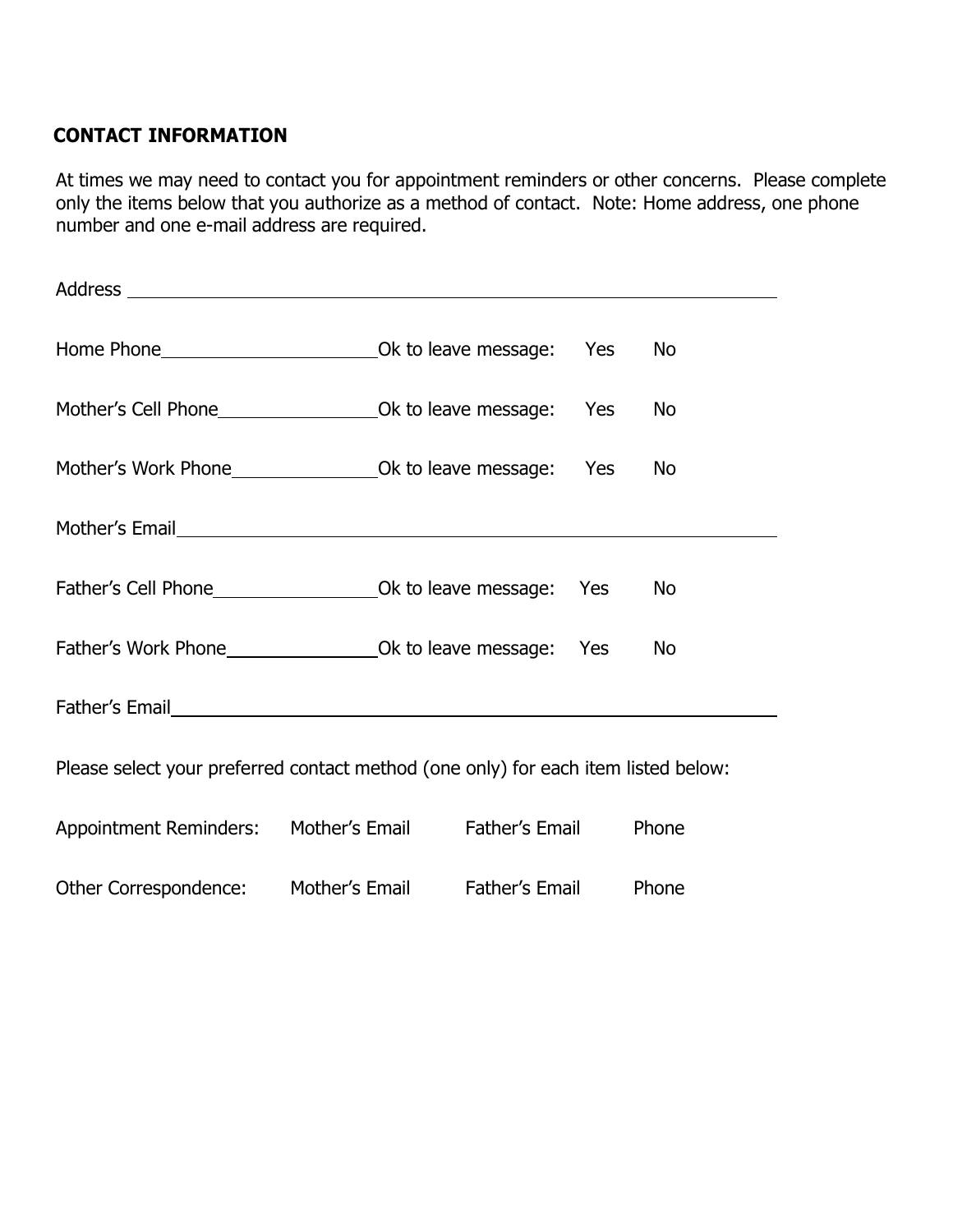# **CONTACT INFORMATION**

At times we may need to contact you for appointment reminders or other concerns. Please complete only the items below that you authorize as a method of contact. Note: Home address, one phone number and one e-mail address are required.

|                                                                                    |  |  | No        |
|------------------------------------------------------------------------------------|--|--|-----------|
|                                                                                    |  |  | <b>No</b> |
|                                                                                    |  |  | No        |
|                                                                                    |  |  |           |
|                                                                                    |  |  | <b>No</b> |
|                                                                                    |  |  | No        |
|                                                                                    |  |  |           |
| Please select your preferred contact method (one only) for each item listed below: |  |  |           |
| Appointment Reminders: Mother's Email Father's Email                               |  |  | Phone     |
|                                                                                    |  |  |           |

Other Correspondence: Mother's Email Father's Email Phone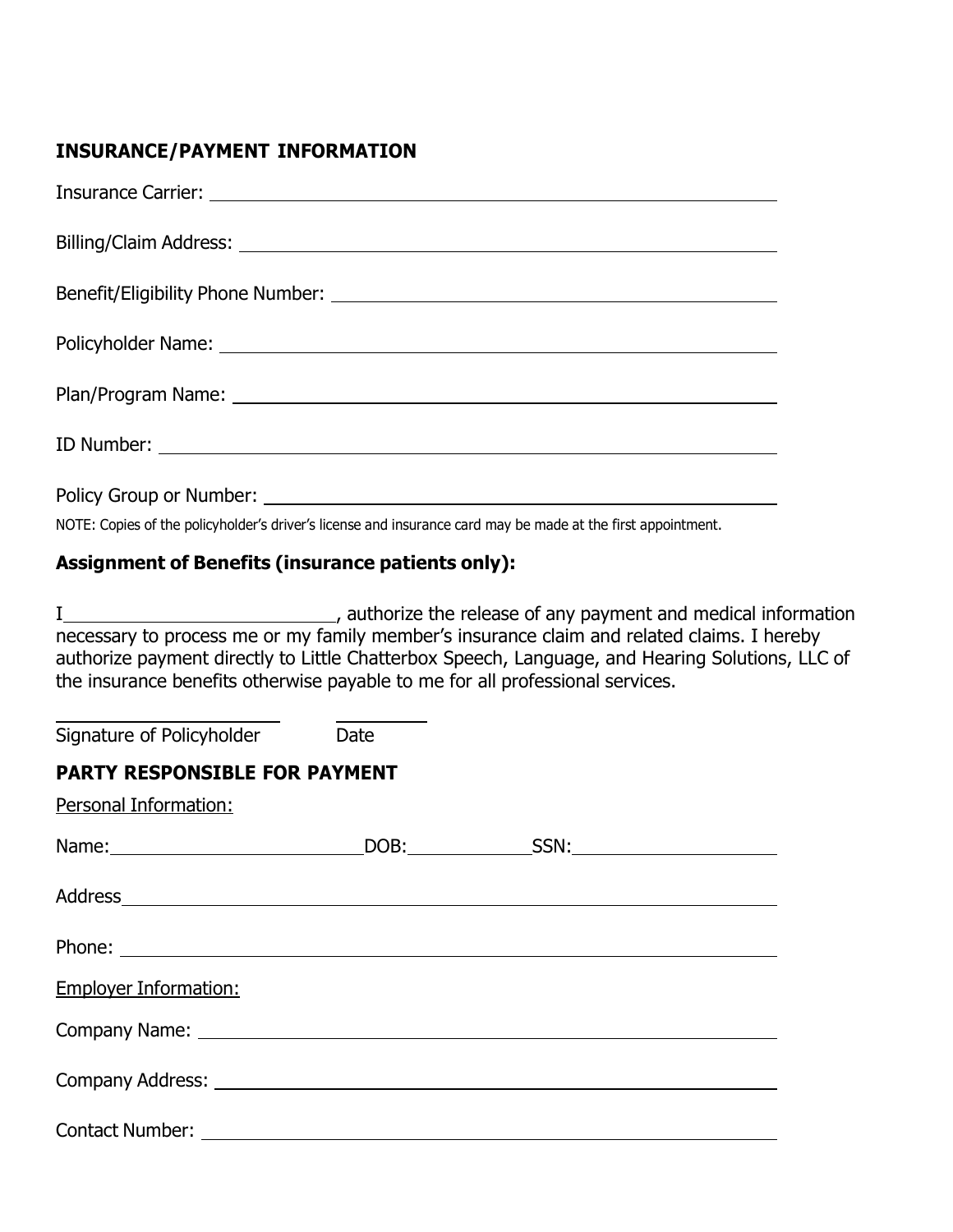## **INSURANCE/PAYMENT INFORMATION**

NOTE: Copies of the policyholder's driver's license and insurance card may be made at the first appointment.

## **Assignment of Benefits (insurance patients only):**

I , authorize the release of any payment and medical information necessary to process me or my family member's insurance claim and related claims. I hereby authorize payment directly to Little Chatterbox Speech, Language, and Hearing Solutions, LLC of the insurance benefits otherwise payable to me for all professional services.

Signature of Policyholder Date

## **PARTY RESPONSIBLE FOR PAYMENT**

Personal Information:

| <b>Employer Information:</b>                  |  |
|-----------------------------------------------|--|
| Company Name: University of the Company Name: |  |
|                                               |  |
|                                               |  |
|                                               |  |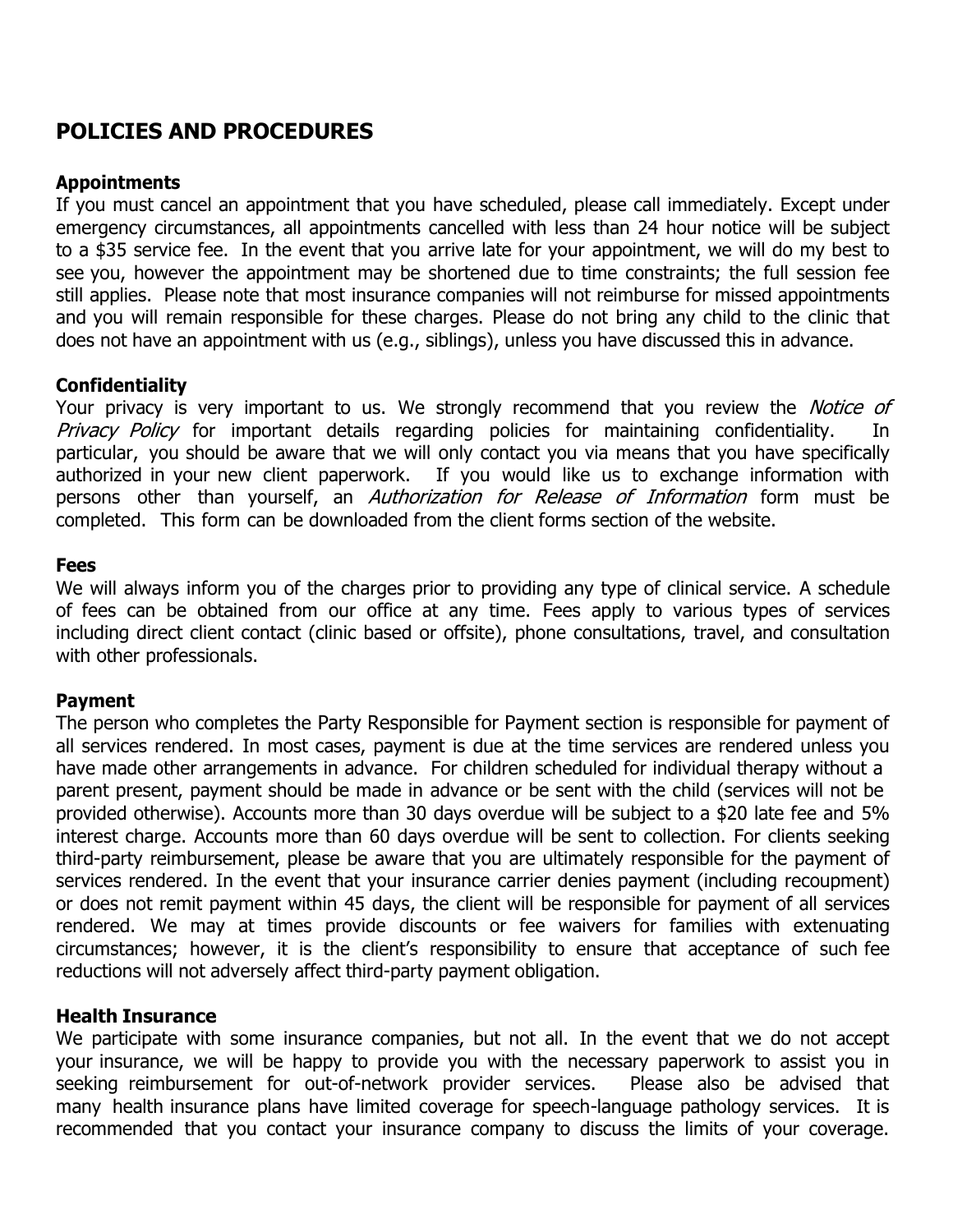# **POLICIES AND PROCEDURES**

### **Appointments**

If you must cancel an appointment that you have scheduled, please call immediately. Except under emergency circumstances, all appointments cancelled with less than 24 hour notice will be subject to a \$35 service fee. In the event that you arrive late for your appointment, we will do my best to see you, however the appointment may be shortened due to time constraints; the full session fee still applies. Please note that most insurance companies will not reimburse for missed appointments and you will remain responsible for these charges. Please do not bring any child to the clinic that does not have an appointment with us (e.g., siblings), unless you have discussed this in advance.

## **Confidentiality**

Your privacy is very important to us. We strongly recommend that you review the *Notice of* Privacy Policy for important details regarding policies for maintaining confidentiality. In particular, you should be aware that we will only contact you via means that you have specifically authorized in your new client paperwork. If you would like us to exchange information with persons other than yourself, an *Authorization for Release of Information* form must be completed. This form can be downloaded from the client forms section of the website.

## **Fees**

We will always inform you of the charges prior to providing any type of clinical service. A schedule of fees can be obtained from our office at any time. Fees apply to various types of services including direct client contact (clinic based or offsite), phone consultations, travel, and consultation with other professionals.

## **Payment**

The person who completes the Party Responsible for Payment section is responsible for payment of all services rendered. In most cases, payment is due at the time services are rendered unless you have made other arrangements in advance. For children scheduled for individual therapy without a parent present, payment should be made in advance or be sent with the child (services will not be provided otherwise). Accounts more than 30 days overdue will be subject to a \$20 late fee and 5% interest charge. Accounts more than 60 days overdue will be sent to collection. For clients seeking third-party reimbursement, please be aware that you are ultimately responsible for the payment of services rendered. In the event that your insurance carrier denies payment (including recoupment) or does not remit payment within 45 days, the client will be responsible for payment of all services rendered. We may at times provide discounts or fee waivers for families with extenuating circumstances; however, it is the client's responsibility to ensure that acceptance of such fee reductions will not adversely affect third-party payment obligation.

## **Health Insurance**

We participate with some insurance companies, but not all. In the event that we do not accept your insurance, we will be happy to provide you with the necessary paperwork to assist you in seeking reimbursement for out-of-network provider services. Please also be advised that many health insurance plans have limited coverage for speech-language pathology services. It is recommended that you contact your insurance company to discuss the limits of your coverage.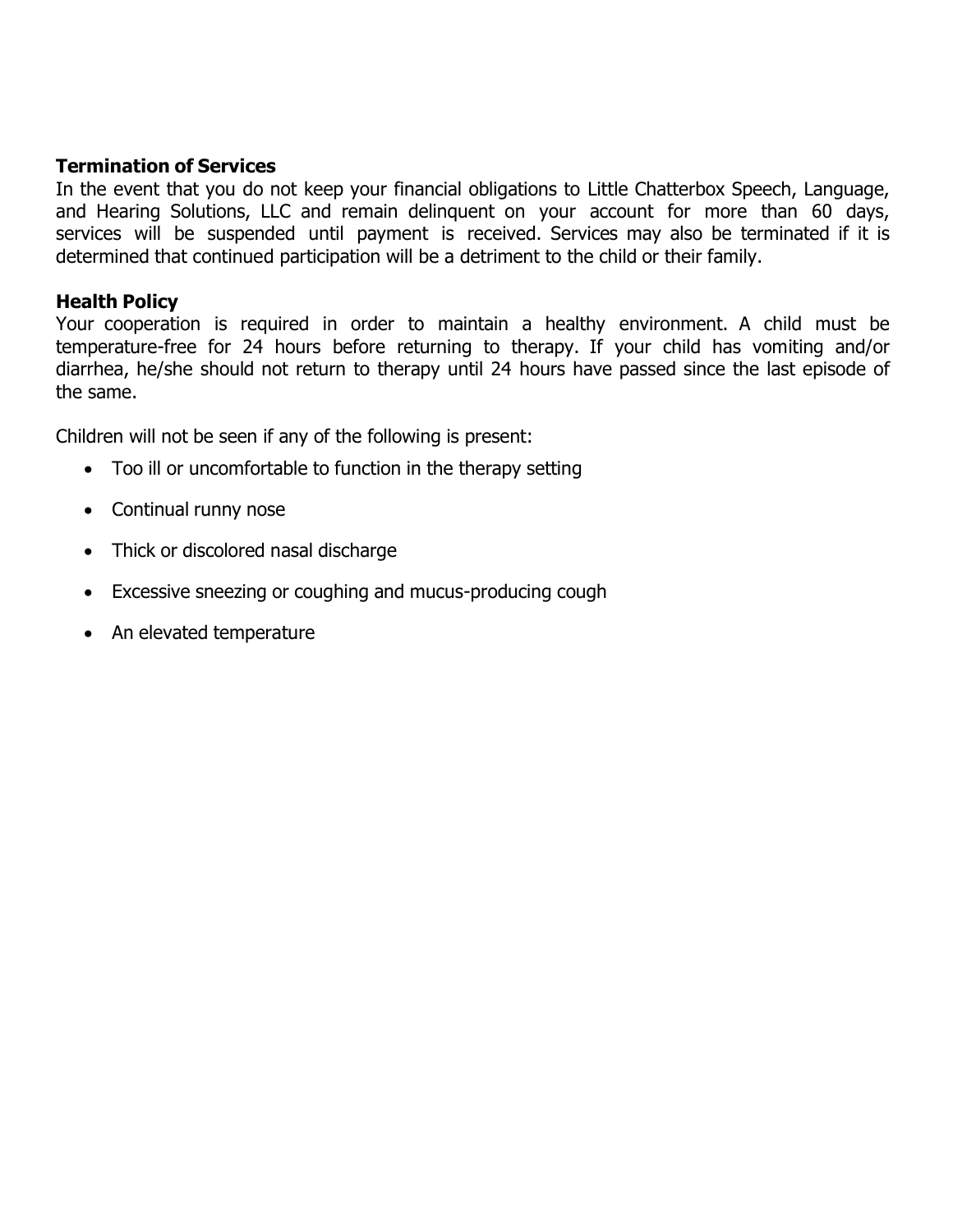## **Termination of Services**

In the event that you do not keep your financial obligations to Little Chatterbox Speech, Language, and Hearing Solutions, LLC and remain delinquent on your account for more than 60 days, services will be suspended until payment is received. Services may also be terminated if it is determined that continued participation will be a detriment to the child or their family.

## **Health Policy**

Your cooperation is required in order to maintain a healthy environment. A child must be temperature-free for 24 hours before returning to therapy. If your child has vomiting and/or diarrhea, he/she should not return to therapy until 24 hours have passed since the last episode of the same.

Children will not be seen if any of the following is present:

- Too ill or uncomfortable to function in the therapy setting
- Continual runny nose
- Thick or discolored nasal discharge
- Excessive sneezing or coughing and mucus-producing cough
- An elevated temperature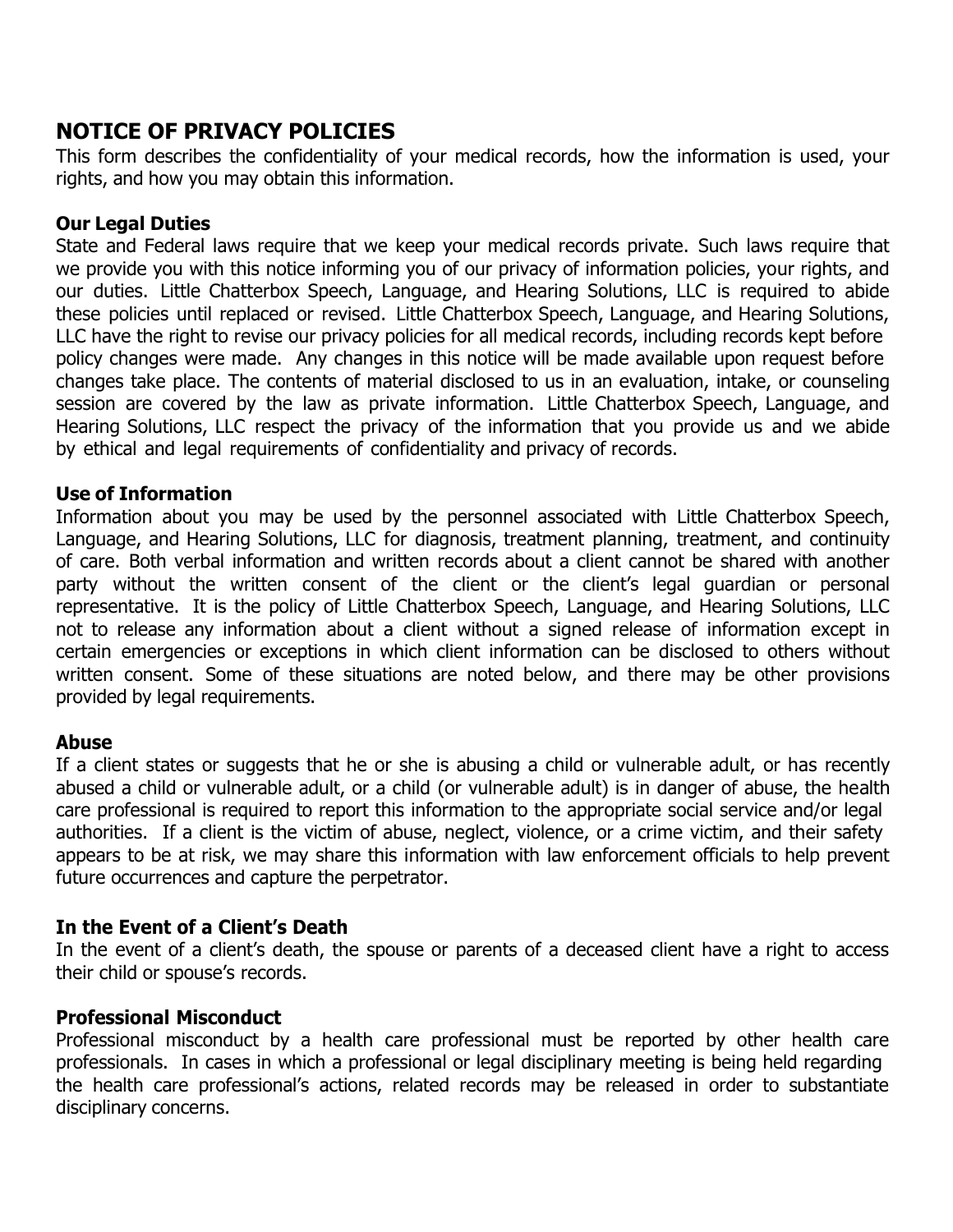# **NOTICE OF PRIVACY POLICIES**

This form describes the confidentiality of your medical records, how the information is used, your rights, and how you may obtain this information.

## **Our Legal Duties**

State and Federal laws require that we keep your medical records private. Such laws require that we provide you with this notice informing you of our privacy of information policies, your rights, and our duties. Little Chatterbox Speech, Language, and Hearing Solutions, LLC is required to abide these policies until replaced or revised. Little Chatterbox Speech, Language, and Hearing Solutions, LLC have the right to revise our privacy policies for all medical records, including records kept before policy changes were made. Any changes in this notice will be made available upon request before changes take place. The contents of material disclosed to us in an evaluation, intake, or counseling session are covered by the law as private information. Little Chatterbox Speech, Language, and Hearing Solutions, LLC respect the privacy of the information that you provide us and we abide by ethical and legal requirements of confidentiality and privacy of records.

## **Use of Information**

Information about you may be used by the personnel associated with Little Chatterbox Speech, Language, and Hearing Solutions, LLC for diagnosis, treatment planning, treatment, and continuity of care. Both verbal information and written records about a client cannot be shared with another party without the written consent of the client or the client's legal guardian or personal representative. It is the policy of Little Chatterbox Speech, Language, and Hearing Solutions, LLC not to release any information about a client without a signed release of information except in certain emergencies or exceptions in which client information can be disclosed to others without written consent. Some of these situations are noted below, and there may be other provisions provided by legal requirements.

## **Abuse**

If a client states or suggests that he or she is abusing a child or vulnerable adult, or has recently abused a child or vulnerable adult, or a child (or vulnerable adult) is in danger of abuse, the health care professional is required to report this information to the appropriate social service and/or legal authorities. If a client is the victim of abuse, neglect, violence, or a crime victim, and their safety appears to be at risk, we may share this information with law enforcement officials to help prevent future occurrences and capture the perpetrator.

## **In the Event of a Client's Death**

In the event of a client's death, the spouse or parents of a deceased client have a right to access their child or spouse's records.

## **Professional Misconduct**

Professional misconduct by a health care professional must be reported by other health care professionals. In cases in which a professional or legal disciplinary meeting is being held regarding the health care professional's actions, related records may be released in order to substantiate disciplinary concerns.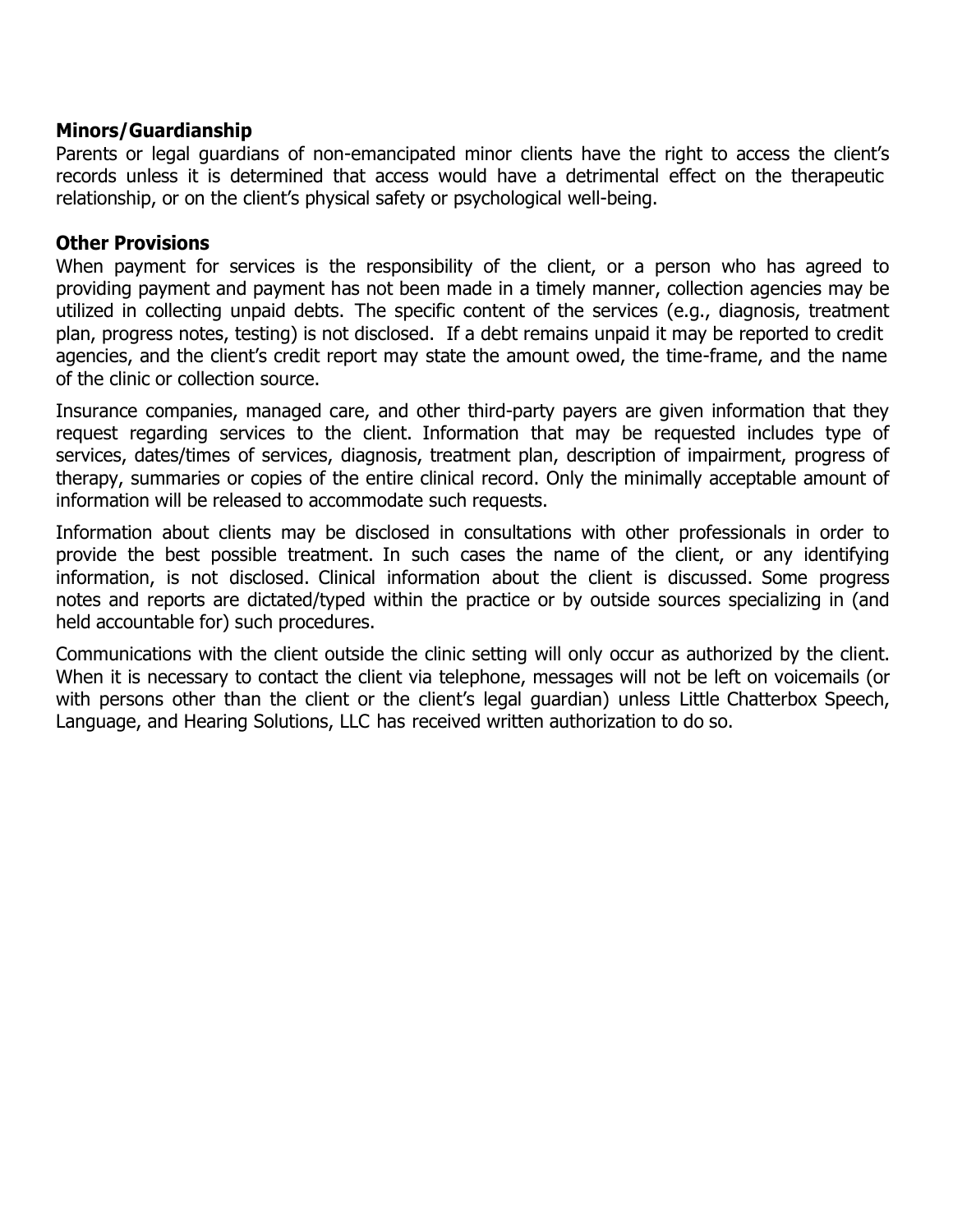## **Minors/Guardianship**

Parents or legal guardians of non-emancipated minor clients have the right to access the client's records unless it is determined that access would have a detrimental effect on the therapeutic relationship, or on the client's physical safety or psychological well-being.

### **Other Provisions**

When payment for services is the responsibility of the client, or a person who has agreed to providing payment and payment has not been made in a timely manner, collection agencies may be utilized in collecting unpaid debts. The specific content of the services (e.g., diagnosis, treatment plan, progress notes, testing) is not disclosed. If a debt remains unpaid it may be reported to credit agencies, and the client's credit report may state the amount owed, the time-frame, and the name of the clinic or collection source.

Insurance companies, managed care, and other third-party payers are given information that they request regarding services to the client. Information that may be requested includes type of services, dates/times of services, diagnosis, treatment plan, description of impairment, progress of therapy, summaries or copies of the entire clinical record. Only the minimally acceptable amount of information will be released to accommodate such requests.

Information about clients may be disclosed in consultations with other professionals in order to provide the best possible treatment. In such cases the name of the client, or any identifying information, is not disclosed. Clinical information about the client is discussed. Some progress notes and reports are dictated/typed within the practice or by outside sources specializing in (and held accountable for) such procedures.

Communications with the client outside the clinic setting will only occur as authorized by the client. When it is necessary to contact the client via telephone, messages will not be left on voicemails (or with persons other than the client or the client's legal guardian) unless Little Chatterbox Speech, Language, and Hearing Solutions, LLC has received written authorization to do so.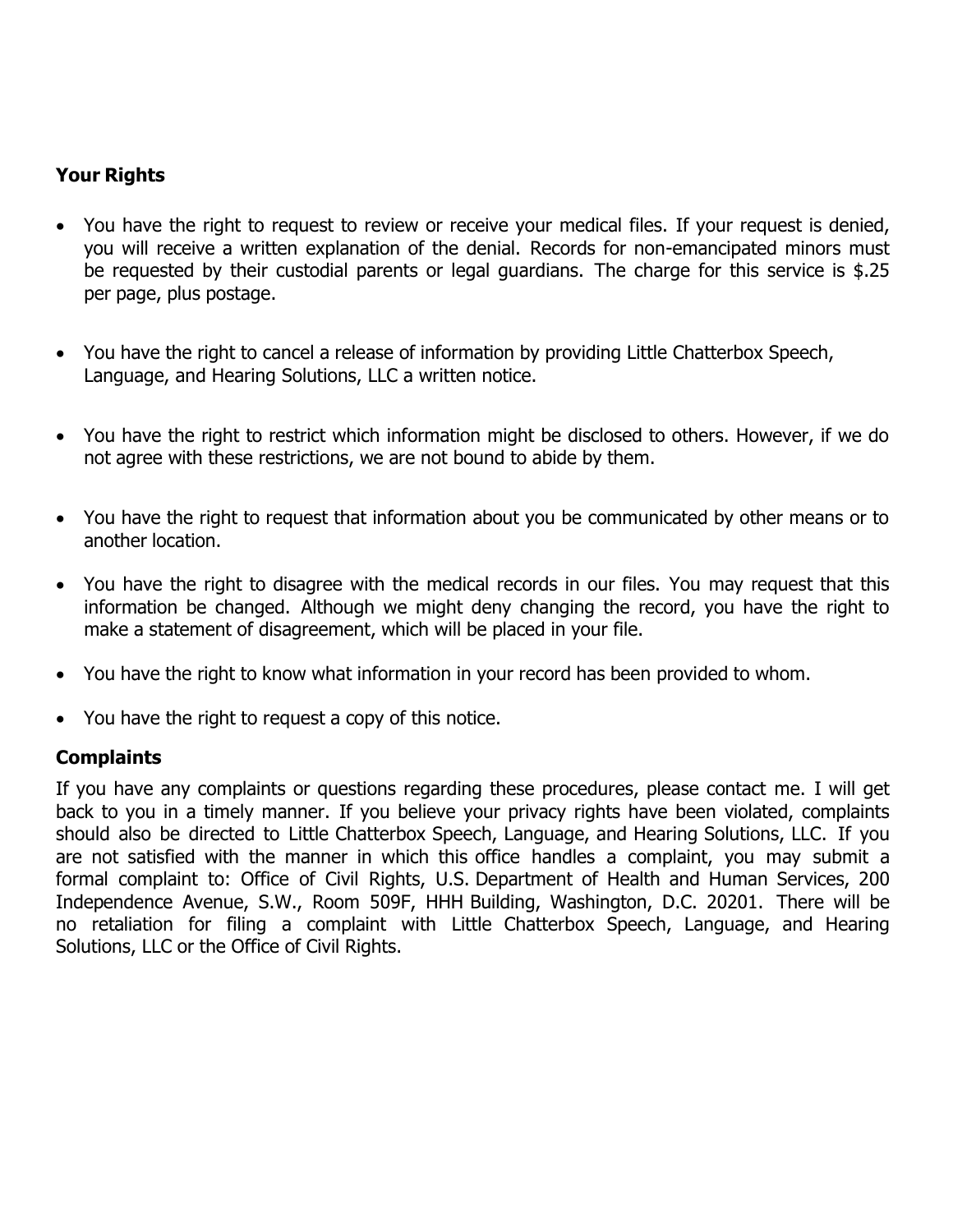## **Your Rights**

- You have the right to request to review or receive your medical files. If your request is denied, you will receive a written explanation of the denial. Records for non-emancipated minors must be requested by their custodial parents or legal guardians. The charge for this service is \$.25 per page, plus postage.
- You have the right to cancel a release of information by providing Little Chatterbox Speech, Language, and Hearing Solutions, LLC a written notice.
- You have the right to restrict which information might be disclosed to others. However, if we do not agree with these restrictions, we are not bound to abide by them.
- You have the right to request that information about you be communicated by other means or to another location.
- You have the right to disagree with the medical records in our files. You may request that this information be changed. Although we might deny changing the record, you have the right to make a statement of disagreement, which will be placed in your file.
- You have the right to know what information in your record has been provided to whom.
- You have the right to request a copy of this notice.

## **Complaints**

If you have any complaints or questions regarding these procedures, please contact me. I will get back to you in a timely manner. If you believe your privacy rights have been violated, complaints should also be directed to Little Chatterbox Speech, Language, and Hearing Solutions, LLC. If you are not satisfied with the manner in which this office handles a complaint, you may submit a formal complaint to: Office of Civil Rights, U.S. Department of Health and Human Services, 200 Independence Avenue, S.W., Room 509F, HHH Building, Washington, D.C. 20201. There will be no retaliation for filing a complaint with Little Chatterbox Speech, Language, and Hearing Solutions, LLC or the Office of Civil Rights.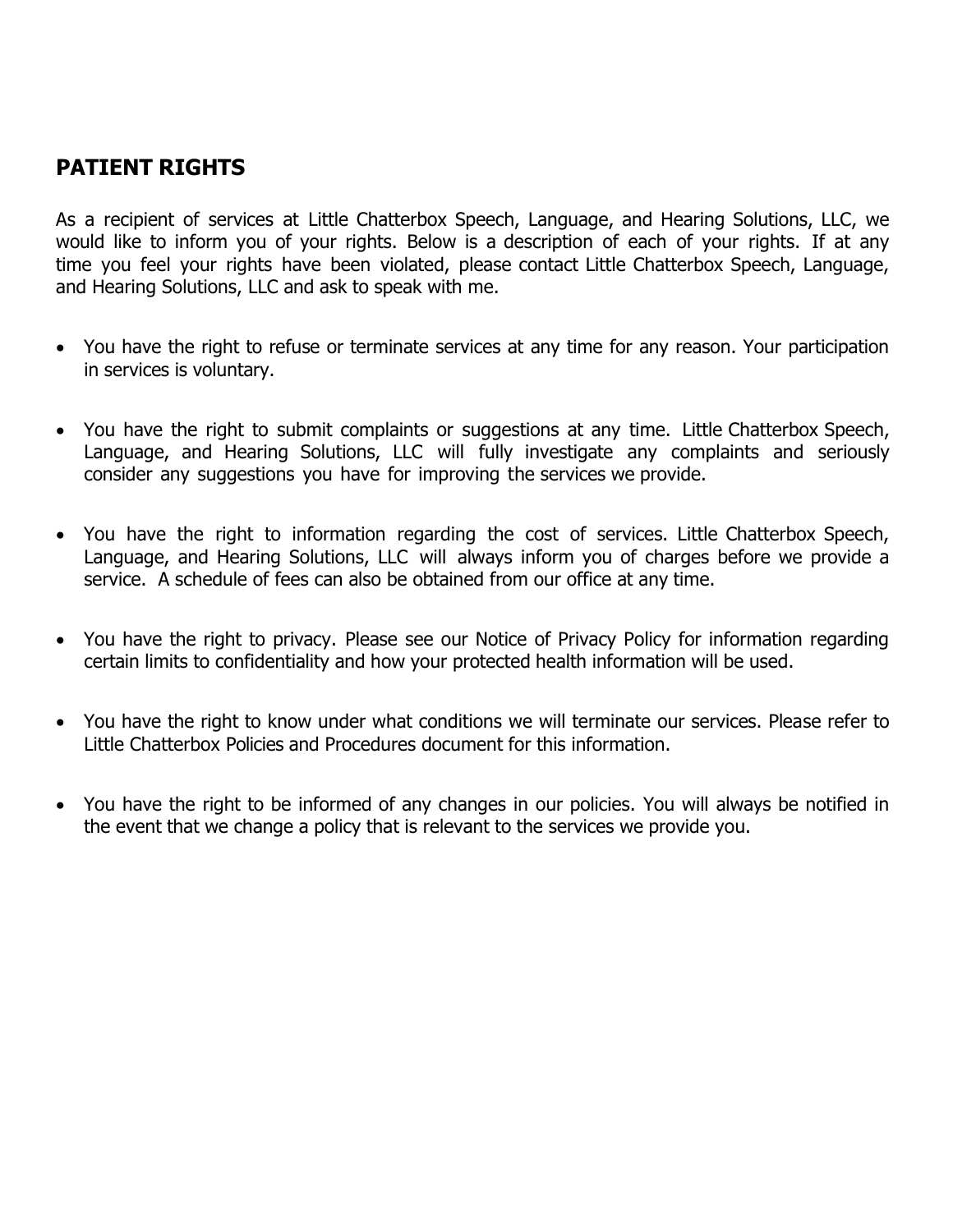# **PATIENT RIGHTS**

As a recipient of services at Little Chatterbox Speech, Language, and Hearing Solutions, LLC, we would like to inform you of your rights. Below is a description of each of your rights. If at any time you feel your rights have been violated, please contact Little Chatterbox Speech, Language, and Hearing Solutions, LLC and ask to speak with me.

- You have the right to refuse or terminate services at any time for any reason. Your participation in services is voluntary.
- You have the right to submit complaints or suggestions at any time. Little Chatterbox Speech, Language, and Hearing Solutions, LLC will fully investigate any complaints and seriously consider any suggestions you have for improving the services we provide.
- You have the right to information regarding the cost of services. Little Chatterbox Speech, Language, and Hearing Solutions, LLC will always inform you of charges before we provide a service. A schedule of fees can also be obtained from our office at any time.
- You have the right to privacy. Please see our Notice of Privacy Policy for information regarding certain limits to confidentiality and how your protected health information will be used.
- You have the right to know under what conditions we will terminate our services. Please refer to Little Chatterbox Policies and Procedures document for this information.
- You have the right to be informed of any changes in our policies. You will always be notified in the event that we change a policy that is relevant to the services we provide you.